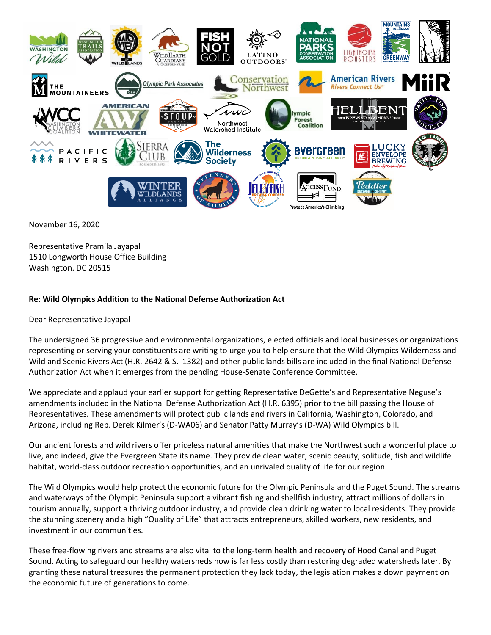

November 16, 2020

Representative Pramila Jayapal 1510 Longworth House Office Building Washington. DC 20515

## **Re: Wild Olympics Addition to the National Defense Authorization Act**

Dear Representative Jayapal

The undersigned 36 progressive and environmental organizations, elected officials and local businesses or organizations representing or serving your constituents are writing to urge you to help ensure that the Wild Olympics Wilderness and Wild and Scenic Rivers Act (H.R. 2642 & S. 1382) and other public lands bills are included in the final National Defense Authorization Act when it emerges from the pending House-Senate Conference Committee.

We appreciate and applaud your earlier support for getting Representative DeGette's and Representative Neguse's amendments included in the National Defense Authorization Act (H.R. 6395) prior to the bill passing the House of Representatives. These amendments will protect public lands and rivers in California, Washington, Colorado, and Arizona, including Rep. Derek Kilmer's (D-WA06) and Senator Patty Murray's (D-WA) Wild Olympics bill.

Our ancient forests and wild rivers offer priceless natural amenities that make the Northwest such a wonderful place to live, and indeed, give the Evergreen State its name. They provide clean water, scenic beauty, solitude, fish and wildlife habitat, world-class outdoor recreation opportunities, and an unrivaled quality of life for our region.

The Wild Olympics would help protect the economic future for the Olympic Peninsula and the Puget Sound. The streams and waterways of the Olympic Peninsula support a vibrant fishing and shellfish industry, attract millions of dollars in tourism annually, support a thriving outdoor industry, and provide clean drinking water to local residents. They provide the stunning scenery and a high "Quality of Life" that attracts entrepreneurs, skilled workers, new residents, and investment in our communities.

These free-flowing rivers and streams are also vital to the long-term health and recovery of Hood Canal and Puget Sound. Acting to safeguard our healthy watersheds now is far less costly than restoring degraded watersheds later. By granting these natural treasures the permanent protection they lack today, the legislation makes a down payment on the economic future of generations to come.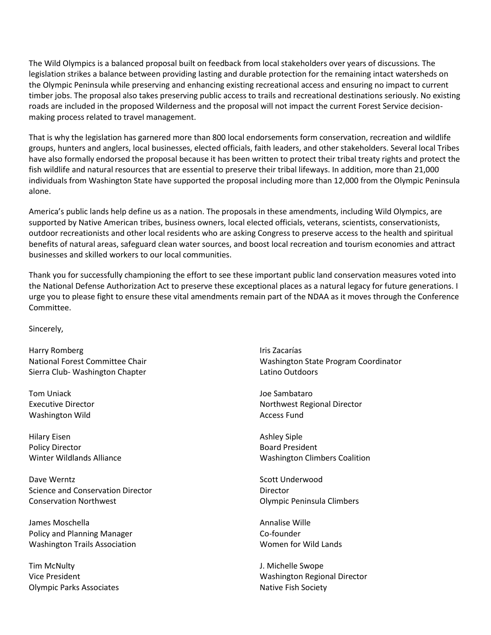The Wild Olympics is a balanced proposal built on feedback from local stakeholders over years of discussions. The legislation strikes a balance between providing lasting and durable protection for the remaining intact watersheds on the Olympic Peninsula while preserving and enhancing existing recreational access and ensuring no impact to current timber jobs. The proposal also takes preserving public access to trails and recreational destinations seriously. No existing roads are included in the proposed Wilderness and the proposal will not impact the current Forest Service decisionmaking process related to travel management.

That is why the legislation has garnered more than 800 local endorsements form conservation, recreation and wildlife groups, hunters and anglers, local businesses, elected officials, faith leaders, and other stakeholders. Several local Tribes have also formally endorsed the proposal because it has been written to protect their tribal treaty rights and protect the fish wildlife and natural resources that are essential to preserve their tribal lifeways. In addition, more than 21,000 individuals from Washington State have supported the proposal including more than 12,000 from the Olympic Peninsula alone.

America's public lands help define us as a nation. The proposals in these amendments, including Wild Olympics, are supported by Native American tribes, business owners, local elected officials, veterans, scientists, conservationists, outdoor recreationists and other local residents who are asking Congress to preserve access to the health and spiritual benefits of natural areas, safeguard clean water sources, and boost local recreation and tourism economies and attract businesses and skilled workers to our local communities.

Thank you for successfully championing the effort to see these important public land conservation measures voted into the National Defense Authorization Act to preserve these exceptional places as a natural legacy for future generations. I urge you to please fight to ensure these vital amendments remain part of the NDAA as it moves through the Conference Committee.

Sincerely,

Harry Romberg National Forest Committee Chair Sierra Club- Washington Chapter

Tom Uniack Executive Director Washington Wild

Hilary Eisen Policy Director Winter Wildlands Alliance

Dave Werntz Science and Conservation Director Conservation Northwest

James Moschella Policy and Planning Manager Washington Trails Association

Tim McNulty Vice President Olympic Parks Associates Iris Zacarías Washington State Program Coordinator Latino Outdoors

Joe Sambataro Northwest Regional Director Access Fund

Ashley Siple Board President Washington Climbers Coalition

Scott Underwood Director Olympic Peninsula Climbers

Annalise Wille Co-founder Women for Wild Lands

J. Michelle Swope Washington Regional Director Native Fish Society